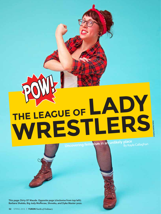## **EXACUE OF LADY**<br> **WRESTLERS** THE LEAGUE OF LA

**This page: Dirty Ol' Maude. Opposite page (clockwise from top left): Barbara Shalala, Big Jody Mufferaw, Shreeka, and Dyke Master 3000.**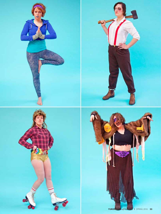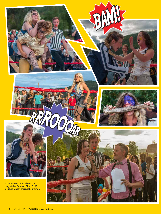